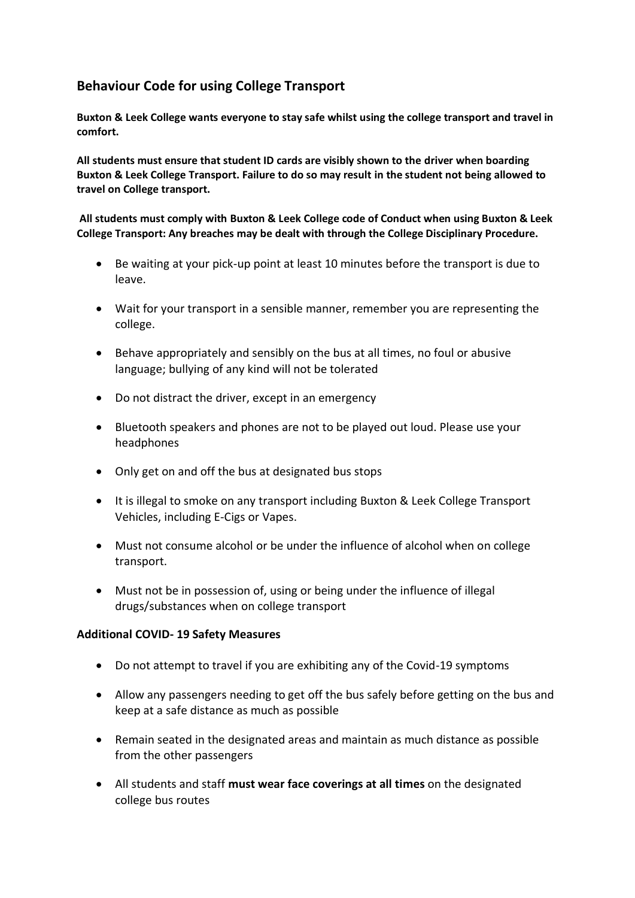## **Behaviour Code for using College Transport**

**Buxton & Leek College wants everyone to stay safe whilst using the college transport and travel in comfort.** 

**All students must ensure that student ID cards are visibly shown to the driver when boarding Buxton & Leek College Transport. Failure to do so may result in the student not being allowed to travel on College transport.** 

**All students must comply with Buxton & Leek College code of Conduct when using Buxton & Leek College Transport: Any breaches may be dealt with through the College Disciplinary Procedure.** 

- Be waiting at your pick-up point at least 10 minutes before the transport is due to leave.
- Wait for your transport in a sensible manner, remember you are representing the college.
- Behave appropriately and sensibly on the bus at all times, no foul or abusive language; bullying of any kind will not be tolerated
- Do not distract the driver, except in an emergency
- Bluetooth speakers and phones are not to be played out loud. Please use your headphones
- Only get on and off the bus at designated bus stops
- It is illegal to smoke on any transport including Buxton & Leek College Transport Vehicles, including E-Cigs or Vapes.
- Must not consume alcohol or be under the influence of alcohol when on college transport.
- Must not be in possession of, using or being under the influence of illegal drugs/substances when on college transport

## **Additional COVID- 19 Safety Measures**

- Do not attempt to travel if you are exhibiting any of the Covid-19 symptoms
- Allow any passengers needing to get off the bus safely before getting on the bus and keep at a safe distance as much as possible
- Remain seated in the designated areas and maintain as much distance as possible from the other passengers
- All students and staff **must wear face coverings at all times** on the designated college bus routes